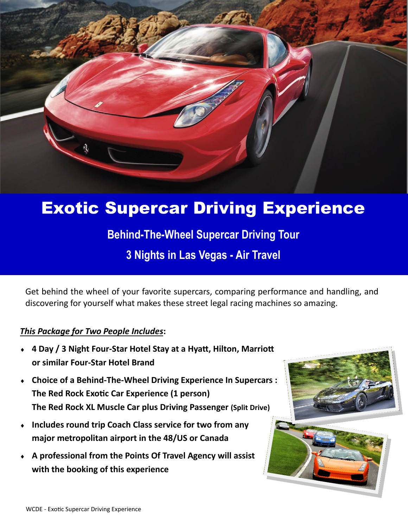

# Exotic Supercar Driving Experience

**Behind-The-Wheel Supercar Driving Tour** 

**3 Nights in Las Vegas - Air Travel**

Get behind the wheel of your favorite supercars, comparing performance and handling, and discovering for yourself what makes these street legal racing machines so amazing.

### *This Package for Two People Includes***:**

- **4 Day / 3 Night Four-Star Hotel Stay at a Hyatt, Hilton, Marriott or similar Four-Star Hotel Brand**
- **Choice of a Behind-The-Wheel Driving Experience In Supercars : The Red Rock Exotic Car Experience (1 person) The Red Rock XL Muscle Car plus Driving Passenger (Split Drive)**
- **Includes round trip Coach Class service for two from any major metropolitan airport in the 48/US or Canada**
- **A professional from the Points Of Travel Agency will assist with the booking of this experience**